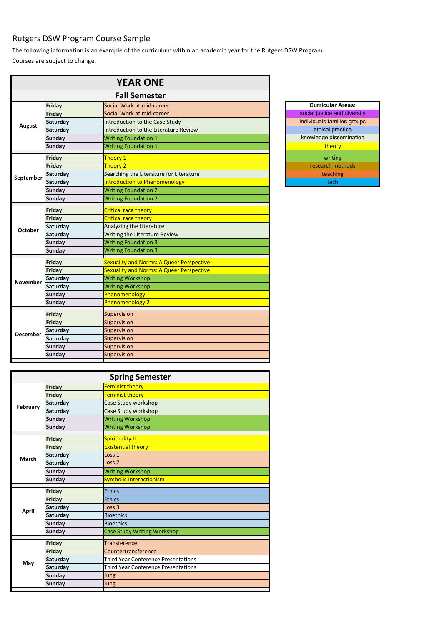## Rutgers DSW Program Course Sample

Courses are subject to change. The following information is an example of the curriculum within an academic year for the Rutgers DSW Program.

|                 |                 | <b>YEAR ONE</b>                                 |                     |
|-----------------|-----------------|-------------------------------------------------|---------------------|
|                 |                 | <b>Fall Semester</b>                            |                     |
|                 | Friday          | Social Work at mid-career                       | <b>Curricular A</b> |
|                 | Friday          | Social Work at mid-career                       | social justice and  |
|                 | <b>Saturday</b> | Introduction to the Case Study                  | individuals familie |
| <b>August</b>   | <b>Saturday</b> | Introduction to the Literature Review           | ethical prac        |
|                 | <b>Sunday</b>   | <b>Writing Foundation 1</b>                     | knowledge disse     |
|                 | <b>Sunday</b>   | <b>Writing Foundation 1</b>                     | theory              |
|                 | <b>Friday</b>   | Theory 1                                        | writing             |
|                 | Friday          | Theory 2                                        | research met        |
|                 | Saturday        | Searching the Literature for Literature         | teaching            |
| September       | Saturday        | <b>Introduction to Phenomenology</b>            | tech                |
|                 | <b>Sunday</b>   | <b>Writing Foundation 2</b>                     |                     |
|                 | <b>Sunday</b>   | <b>Writing Foundation 2</b>                     |                     |
|                 | <b>Friday</b>   | <b>Critical race theory</b>                     |                     |
|                 | Friday          | <b>Critical race theory</b>                     |                     |
| October         | <b>Saturday</b> | Analyzing the Literature                        |                     |
|                 | <b>Saturday</b> | Writing the Literature Review                   |                     |
|                 | <b>Sunday</b>   | <b>Writing Foundation 3</b>                     |                     |
|                 | <b>Sunday</b>   | <b>Writing Foundation 3</b>                     |                     |
| <b>November</b> | Friday          | <b>Sexuality and Norms: A Queer Perspective</b> |                     |
|                 | Friday          | <b>Sexuality and Norms: A Queer Perspective</b> |                     |
|                 | <b>Saturday</b> | <b>Writing Workshop</b>                         |                     |
|                 | <b>Saturday</b> | <b>Writing Workshop</b>                         |                     |
|                 | <b>Sunday</b>   | Phenomenology 1                                 |                     |
|                 | <b>Sunday</b>   | Phenomenology 2                                 |                     |
|                 | Friday          | Supervision                                     |                     |
|                 | Friday          | Supervision                                     |                     |
|                 | <b>Saturday</b> | Supervision                                     |                     |
| <b>December</b> | <b>Saturday</b> | Supervision                                     |                     |
|                 | <b>Sunday</b>   | Supervision                                     |                     |
|                 | <b>Sunday</b>   | Supervision                                     |                     |
|                 |                 |                                                 |                     |



| <b>Spring Semester</b> |                 |                                            |  |
|------------------------|-----------------|--------------------------------------------|--|
|                        | Friday          | <b>Feminist theory</b>                     |  |
|                        | <b>Friday</b>   | Feminist theory                            |  |
| February               | Saturday        | Case Study workshop                        |  |
|                        | <b>Saturday</b> | Case Study workshop                        |  |
|                        | <b>Sunday</b>   | <b>Writing Workshop</b>                    |  |
|                        | <b>Sunday</b>   | <b>Writing Workshop</b>                    |  |
|                        | <b>Friday</b>   | <b>Spirituality II</b>                     |  |
|                        | Friday          | <b>Existential theory</b>                  |  |
|                        | <b>Saturday</b> | Loss 1                                     |  |
| <b>March</b>           | Saturday        | Loss <sub>2</sub>                          |  |
|                        | <b>Sunday</b>   | <b>Writing Workshop</b>                    |  |
|                        | <b>Sunday</b>   | <b>Symbolic Interactionism</b>             |  |
|                        | <b>Friday</b>   | <b>Ethics</b>                              |  |
|                        | <b>Friday</b>   | Ethics                                     |  |
|                        | Saturday        | Loss <sub>3</sub>                          |  |
| <b>April</b>           | Saturday        | <b>Bioethics</b>                           |  |
|                        | <b>Sunday</b>   | <b>Bioethics</b>                           |  |
|                        | <b>Sunday</b>   | <b>Case Study Writing Workshop</b>         |  |
|                        | <b>Friday</b>   | <b>Transference</b>                        |  |
|                        | <b>Friday</b>   | Countertransference                        |  |
|                        | Saturday        | <b>Third Year Conference Presentations</b> |  |
| May                    | Saturday        | Third Year Conference Presentations        |  |
|                        | <b>Sunday</b>   | Jung                                       |  |
|                        | <b>Sunday</b>   | Jung                                       |  |
|                        |                 |                                            |  |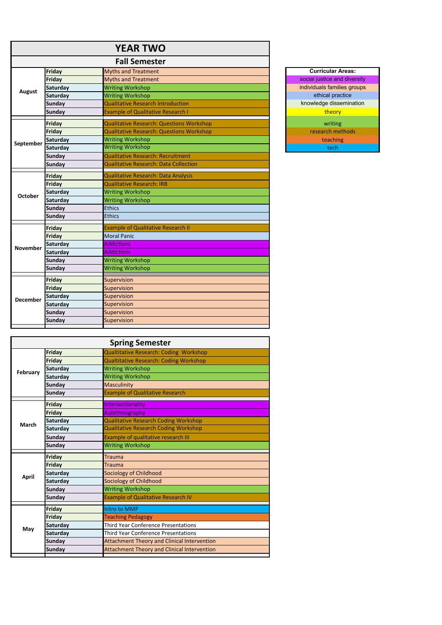| <b>Fall Semester</b><br><b>Curricular Areas:</b><br>Friday<br><b>Myths and Treatment</b><br>social justice and diversity<br><b>Myths and Treatment</b><br>Friday<br>individuals families groups<br><b>Writing Workshop</b><br><b>Saturday</b><br><b>August</b><br>ethical practice<br><b>Writing Workshop</b><br>Saturday<br>knowledge dissemination<br><b>Qualitative Research Introduction</b><br><b>Sunday</b><br><b>Example of Qualitative Research I</b><br>theory<br><b>Sunday</b><br><b>Qualitative Research: Questions Workshop</b><br><b>Friday</b><br>writing<br>research methods<br><b>Qualitative Research: Questions Workshop</b><br><b>Friday</b><br><b>Saturday</b><br><b>Writing Workshop</b><br>teaching<br>September<br><b>Writing Workshop</b><br>Saturday<br>tech<br><b>Qualitative Research: Recruitment</b><br><b>Sunday</b><br><b>Qualitative Research: Data Collection</b><br><b>Sunday</b><br><b>Qualitative Research: Data Analysis</b><br>Friday<br><b>Qualitative Research: IRB</b><br>Friday<br><b>Writing Workshop</b><br><b>Saturday</b><br><b>October</b><br><b>Writing Workshop</b><br>Saturday<br><b>Ethics</b><br><b>Sunday</b><br><b>Ethics</b><br><b>Sunday</b><br><b>Example of Qualitative Research II</b><br>Friday<br>Friday<br><b>Moral Panic</b><br><b>Saturday</b><br><b>Addictions</b><br><b>November</b><br>Saturday<br><b>Addictions</b> |  |
|-----------------------------------------------------------------------------------------------------------------------------------------------------------------------------------------------------------------------------------------------------------------------------------------------------------------------------------------------------------------------------------------------------------------------------------------------------------------------------------------------------------------------------------------------------------------------------------------------------------------------------------------------------------------------------------------------------------------------------------------------------------------------------------------------------------------------------------------------------------------------------------------------------------------------------------------------------------------------------------------------------------------------------------------------------------------------------------------------------------------------------------------------------------------------------------------------------------------------------------------------------------------------------------------------------------------------------------------------------------------------------------------|--|
|                                                                                                                                                                                                                                                                                                                                                                                                                                                                                                                                                                                                                                                                                                                                                                                                                                                                                                                                                                                                                                                                                                                                                                                                                                                                                                                                                                                         |  |
|                                                                                                                                                                                                                                                                                                                                                                                                                                                                                                                                                                                                                                                                                                                                                                                                                                                                                                                                                                                                                                                                                                                                                                                                                                                                                                                                                                                         |  |
|                                                                                                                                                                                                                                                                                                                                                                                                                                                                                                                                                                                                                                                                                                                                                                                                                                                                                                                                                                                                                                                                                                                                                                                                                                                                                                                                                                                         |  |
|                                                                                                                                                                                                                                                                                                                                                                                                                                                                                                                                                                                                                                                                                                                                                                                                                                                                                                                                                                                                                                                                                                                                                                                                                                                                                                                                                                                         |  |
|                                                                                                                                                                                                                                                                                                                                                                                                                                                                                                                                                                                                                                                                                                                                                                                                                                                                                                                                                                                                                                                                                                                                                                                                                                                                                                                                                                                         |  |
|                                                                                                                                                                                                                                                                                                                                                                                                                                                                                                                                                                                                                                                                                                                                                                                                                                                                                                                                                                                                                                                                                                                                                                                                                                                                                                                                                                                         |  |
|                                                                                                                                                                                                                                                                                                                                                                                                                                                                                                                                                                                                                                                                                                                                                                                                                                                                                                                                                                                                                                                                                                                                                                                                                                                                                                                                                                                         |  |
|                                                                                                                                                                                                                                                                                                                                                                                                                                                                                                                                                                                                                                                                                                                                                                                                                                                                                                                                                                                                                                                                                                                                                                                                                                                                                                                                                                                         |  |
|                                                                                                                                                                                                                                                                                                                                                                                                                                                                                                                                                                                                                                                                                                                                                                                                                                                                                                                                                                                                                                                                                                                                                                                                                                                                                                                                                                                         |  |
|                                                                                                                                                                                                                                                                                                                                                                                                                                                                                                                                                                                                                                                                                                                                                                                                                                                                                                                                                                                                                                                                                                                                                                                                                                                                                                                                                                                         |  |
|                                                                                                                                                                                                                                                                                                                                                                                                                                                                                                                                                                                                                                                                                                                                                                                                                                                                                                                                                                                                                                                                                                                                                                                                                                                                                                                                                                                         |  |
|                                                                                                                                                                                                                                                                                                                                                                                                                                                                                                                                                                                                                                                                                                                                                                                                                                                                                                                                                                                                                                                                                                                                                                                                                                                                                                                                                                                         |  |
|                                                                                                                                                                                                                                                                                                                                                                                                                                                                                                                                                                                                                                                                                                                                                                                                                                                                                                                                                                                                                                                                                                                                                                                                                                                                                                                                                                                         |  |
|                                                                                                                                                                                                                                                                                                                                                                                                                                                                                                                                                                                                                                                                                                                                                                                                                                                                                                                                                                                                                                                                                                                                                                                                                                                                                                                                                                                         |  |
|                                                                                                                                                                                                                                                                                                                                                                                                                                                                                                                                                                                                                                                                                                                                                                                                                                                                                                                                                                                                                                                                                                                                                                                                                                                                                                                                                                                         |  |
|                                                                                                                                                                                                                                                                                                                                                                                                                                                                                                                                                                                                                                                                                                                                                                                                                                                                                                                                                                                                                                                                                                                                                                                                                                                                                                                                                                                         |  |
|                                                                                                                                                                                                                                                                                                                                                                                                                                                                                                                                                                                                                                                                                                                                                                                                                                                                                                                                                                                                                                                                                                                                                                                                                                                                                                                                                                                         |  |
|                                                                                                                                                                                                                                                                                                                                                                                                                                                                                                                                                                                                                                                                                                                                                                                                                                                                                                                                                                                                                                                                                                                                                                                                                                                                                                                                                                                         |  |
|                                                                                                                                                                                                                                                                                                                                                                                                                                                                                                                                                                                                                                                                                                                                                                                                                                                                                                                                                                                                                                                                                                                                                                                                                                                                                                                                                                                         |  |
|                                                                                                                                                                                                                                                                                                                                                                                                                                                                                                                                                                                                                                                                                                                                                                                                                                                                                                                                                                                                                                                                                                                                                                                                                                                                                                                                                                                         |  |
|                                                                                                                                                                                                                                                                                                                                                                                                                                                                                                                                                                                                                                                                                                                                                                                                                                                                                                                                                                                                                                                                                                                                                                                                                                                                                                                                                                                         |  |
|                                                                                                                                                                                                                                                                                                                                                                                                                                                                                                                                                                                                                                                                                                                                                                                                                                                                                                                                                                                                                                                                                                                                                                                                                                                                                                                                                                                         |  |
|                                                                                                                                                                                                                                                                                                                                                                                                                                                                                                                                                                                                                                                                                                                                                                                                                                                                                                                                                                                                                                                                                                                                                                                                                                                                                                                                                                                         |  |
| <b>Writing Workshop</b><br><b>Sunday</b>                                                                                                                                                                                                                                                                                                                                                                                                                                                                                                                                                                                                                                                                                                                                                                                                                                                                                                                                                                                                                                                                                                                                                                                                                                                                                                                                                |  |
| <b>Writing Workshop</b><br><b>Sunday</b>                                                                                                                                                                                                                                                                                                                                                                                                                                                                                                                                                                                                                                                                                                                                                                                                                                                                                                                                                                                                                                                                                                                                                                                                                                                                                                                                                |  |
| Supervision<br>Friday                                                                                                                                                                                                                                                                                                                                                                                                                                                                                                                                                                                                                                                                                                                                                                                                                                                                                                                                                                                                                                                                                                                                                                                                                                                                                                                                                                   |  |
| Friday<br>Supervision                                                                                                                                                                                                                                                                                                                                                                                                                                                                                                                                                                                                                                                                                                                                                                                                                                                                                                                                                                                                                                                                                                                                                                                                                                                                                                                                                                   |  |
| Saturday<br>Supervision                                                                                                                                                                                                                                                                                                                                                                                                                                                                                                                                                                                                                                                                                                                                                                                                                                                                                                                                                                                                                                                                                                                                                                                                                                                                                                                                                                 |  |
| <b>December</b><br>Supervision<br>Saturday                                                                                                                                                                                                                                                                                                                                                                                                                                                                                                                                                                                                                                                                                                                                                                                                                                                                                                                                                                                                                                                                                                                                                                                                                                                                                                                                              |  |
| <b>Sunday</b><br>Supervision                                                                                                                                                                                                                                                                                                                                                                                                                                                                                                                                                                                                                                                                                                                                                                                                                                                                                                                                                                                                                                                                                                                                                                                                                                                                                                                                                            |  |
| Supervision<br><b>Sunday</b>                                                                                                                                                                                                                                                                                                                                                                                                                                                                                                                                                                                                                                                                                                                                                                                                                                                                                                                                                                                                                                                                                                                                                                                                                                                                                                                                                            |  |

| <b>Spring Semester</b> |               |                                                                        |
|------------------------|---------------|------------------------------------------------------------------------|
|                        | Friday        | <b>Qualtitative Research: Coding Workshop</b>                          |
|                        | Friday        | <b>Qualtitative Research: Coding Workshop</b>                          |
| February               | Saturday      | <b>Writing Workshop</b>                                                |
|                        | Saturday      | <b>Writing Workshop</b>                                                |
|                        | <b>Sunday</b> | <b>Masculinity</b>                                                     |
|                        | <b>Sunday</b> | <b>Example of Qualitative Research</b>                                 |
|                        | <b>Friday</b> | Intersectionality                                                      |
|                        | <b>Friday</b> | Autethnography                                                         |
|                        | Saturday      | <b>Qualitative Research Coding Workshop</b>                            |
| <b>March</b>           | Saturday      | <b>Qualitative Research Coding Workshop</b>                            |
|                        | <b>Sunday</b> | Example of qualitative research III                                    |
|                        | <b>Sunday</b> | <b>Writing Workshop</b>                                                |
|                        | <b>Friday</b> | Trauma                                                                 |
|                        | <b>Friday</b> | <b>Trauma</b>                                                          |
|                        | Saturday      | <b>Sociology of Childhood</b>                                          |
| <b>April</b>           | Saturday      | <b>Sociology of Childhood</b>                                          |
|                        | <b>Sunday</b> | <b>Writing Workshop</b>                                                |
|                        | <b>Sunday</b> | <b>Example of Qualitative Research IV</b>                              |
|                        | Friday        | Intro to MMP                                                           |
|                        | Friday        |                                                                        |
|                        |               | <b>Teaching Pedagogy</b><br><b>Third Year Conference Presentations</b> |
| May                    | Saturday      |                                                                        |
|                        | Saturday      | <b>Third Year Conference Presentations</b>                             |
|                        | <b>Sunday</b> | <b>Attachment Theory and Clinical Intervention</b>                     |
|                        | <b>Sunday</b> | Attachment Theory and Clinical Intervention                            |

## **Curricular Areas:** ethical practice **knowledge dissemination** theory